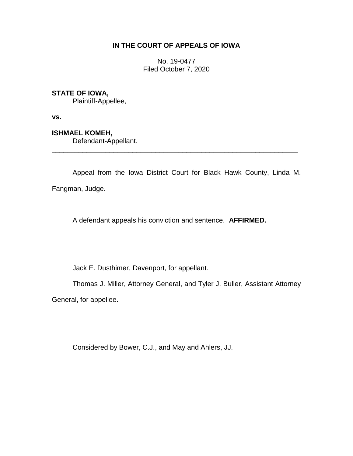# **IN THE COURT OF APPEALS OF IOWA**

No. 19-0477 Filed October 7, 2020

## **STATE OF IOWA,**

Plaintiff-Appellee,

**vs.**

**ISHMAEL KOMEH,**

Defendant-Appellant.

Appeal from the Iowa District Court for Black Hawk County, Linda M. Fangman, Judge.

\_\_\_\_\_\_\_\_\_\_\_\_\_\_\_\_\_\_\_\_\_\_\_\_\_\_\_\_\_\_\_\_\_\_\_\_\_\_\_\_\_\_\_\_\_\_\_\_\_\_\_\_\_\_\_\_\_\_\_\_\_\_\_\_

A defendant appeals his conviction and sentence. **AFFIRMED.**

Jack E. Dusthimer, Davenport, for appellant.

Thomas J. Miller, Attorney General, and Tyler J. Buller, Assistant Attorney

General, for appellee.

Considered by Bower, C.J., and May and Ahlers, JJ.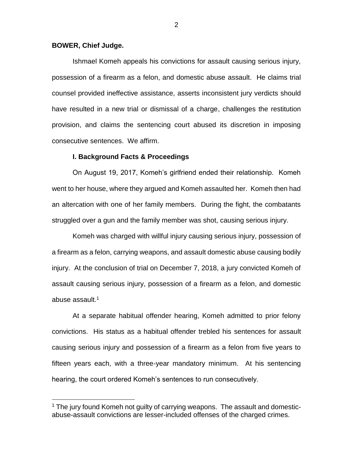## **BOWER, Chief Judge.**

 $\overline{a}$ 

Ishmael Komeh appeals his convictions for assault causing serious injury, possession of a firearm as a felon, and domestic abuse assault. He claims trial counsel provided ineffective assistance, asserts inconsistent jury verdicts should have resulted in a new trial or dismissal of a charge, challenges the restitution provision, and claims the sentencing court abused its discretion in imposing consecutive sentences. We affirm.

## **I. Background Facts & Proceedings**

On August 19, 2017, Komeh's girlfriend ended their relationship. Komeh went to her house, where they argued and Komeh assaulted her. Komeh then had an altercation with one of her family members. During the fight, the combatants struggled over a gun and the family member was shot, causing serious injury.

Komeh was charged with willful injury causing serious injury, possession of a firearm as a felon, carrying weapons, and assault domestic abuse causing bodily injury. At the conclusion of trial on December 7, 2018, a jury convicted Komeh of assault causing serious injury, possession of a firearm as a felon, and domestic abuse assault. 1

At a separate habitual offender hearing, Komeh admitted to prior felony convictions. His status as a habitual offender trebled his sentences for assault causing serious injury and possession of a firearm as a felon from five years to fifteen years each, with a three-year mandatory minimum. At his sentencing hearing, the court ordered Komeh's sentences to run consecutively.

<sup>&</sup>lt;sup>1</sup> The jury found Komeh not guilty of carrying weapons. The assault and domesticabuse-assault convictions are lesser-included offenses of the charged crimes.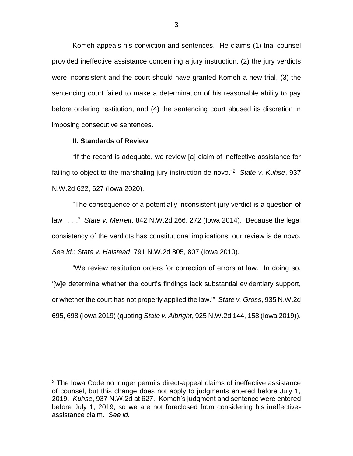Komeh appeals his conviction and sentences. He claims (1) trial counsel provided ineffective assistance concerning a jury instruction, (2) the jury verdicts were inconsistent and the court should have granted Komeh a new trial, (3) the sentencing court failed to make a determination of his reasonable ability to pay before ordering restitution, and (4) the sentencing court abused its discretion in imposing consecutive sentences.

### **II. Standards of Review**

 $\overline{a}$ 

"If the record is adequate, we review [a] claim of ineffective assistance for failing to object to the marshaling jury instruction de novo."<sup>2</sup> *State v. Kuhse*, 937 N.W.2d 622, 627 (Iowa 2020).

"The consequence of a potentially inconsistent jury verdict is a question of law . . . ." *State v. Merrett*, 842 N.W.2d 266, 272 (Iowa 2014). Because the legal consistency of the verdicts has constitutional implications, our review is de novo. *See id.; State v. Halstead*, 791 N.W.2d 805, 807 (Iowa 2010).

"We review restitution orders for correction of errors at law. In doing so, '[w]e determine whether the court's findings lack substantial evidentiary support, or whether the court has not properly applied the law.'" *State v. Gross*, 935 N.W.2d 695, 698 (Iowa 2019) (quoting *State v. Albright*, 925 N.W.2d 144, 158 (Iowa 2019)).

 $2$  The Iowa Code no longer permits direct-appeal claims of ineffective assistance of counsel, but this change does not apply to judgments entered before July 1, 2019. *Kuhse*, 937 N.W.2d at 627. Komeh's judgment and sentence were entered before July 1, 2019, so we are not foreclosed from considering his ineffectiveassistance claim. *See id.*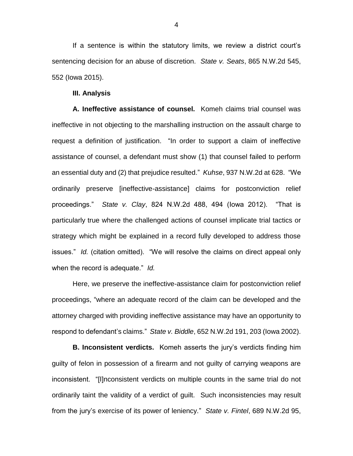If a sentence is within the statutory limits, we review a district court's sentencing decision for an abuse of discretion. *State v. Seats*, 865 N.W.2d 545, 552 (Iowa 2015).

#### **III. Analysis**

**A. Ineffective assistance of counsel.**Komeh claims trial counsel was ineffective in not objecting to the marshalling instruction on the assault charge to request a definition of justification. "In order to support a claim of ineffective assistance of counsel, a defendant must show (1) that counsel failed to perform an essential duty and (2) that prejudice resulted." *Kuhse*, 937 N.W.2d at 628. "We ordinarily preserve [ineffective-assistance] claims for postconviction relief proceedings." *State v. Clay*, 824 N.W.2d 488, 494 (Iowa 2012). "That is particularly true where the challenged actions of counsel implicate trial tactics or strategy which might be explained in a record fully developed to address those issues." *Id.* (citation omitted). "We will resolve the claims on direct appeal only when the record is adequate." *Id.*

Here, we preserve the ineffective-assistance claim for postconviction relief proceedings, "where an adequate record of the claim can be developed and the attorney charged with providing ineffective assistance may have an opportunity to respond to defendant's claims." *State v. Biddle*, 652 N.W.2d 191, 203 (Iowa 2002).

**B. Inconsistent verdicts.** Komeh asserts the jury's verdicts finding him guilty of felon in possession of a firearm and not guilty of carrying weapons are inconsistent. "[I]nconsistent verdicts on multiple counts in the same trial do not ordinarily taint the validity of a verdict of guilt. Such inconsistencies may result from the jury's exercise of its power of leniency." *State v. Fintel*, 689 N.W.2d 95,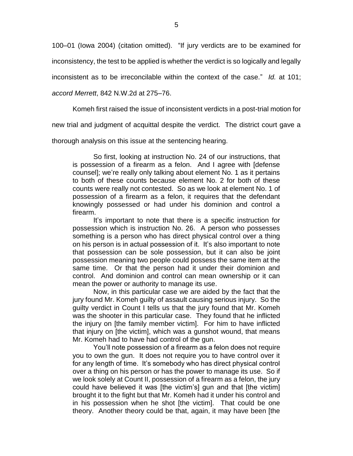100–01 (Iowa 2004) (citation omitted). "If jury verdicts are to be examined for

inconsistency, the test to be applied is whether the verdict is so logically and legally

inconsistent as to be irreconcilable within the context of the case." *Id.* at 101;

*accord Merrett*, 842 N.W.2d at 275–76.

Komeh first raised the issue of inconsistent verdicts in a post-trial motion for

new trial and judgment of acquittal despite the verdict. The district court gave a

thorough analysis on this issue at the sentencing hearing.

So first, looking at instruction No. 24 of our instructions, that is possession of a firearm as a felon. And I agree with [defense counsel]; we're really only talking about element No. 1 as it pertains to both of these counts because element No. 2 for both of these counts were really not contested. So as we look at element No. 1 of possession of a firearm as a felon, it requires that the defendant knowingly possessed or had under his dominion and control a firearm.

It's important to note that there is a specific instruction for possession which is instruction No. 26. A person who possesses something is a person who has direct physical control over a thing on his person is in actual possession of it. It's also important to note that possession can be sole possession, but it can also be joint possession meaning two people could possess the same item at the same time. Or that the person had it under their dominion and control. And dominion and control can mean ownership or it can mean the power or authority to manage its use.

Now, in this particular case we are aided by the fact that the jury found Mr. Komeh guilty of assault causing serious injury. So the guilty verdict in Count I tells us that the jury found that Mr. Komeh was the shooter in this particular case. They found that he inflicted the injury on [the family member victim]. For him to have inflicted that injury on [the victim], which was a gunshot wound, that means Mr. Komeh had to have had control of the gun.

You'll note possession of a firearm as a felon does not require you to own the gun. It does not require you to have control over it for any length of time. It's somebody who has direct physical control over a thing on his person or has the power to manage its use. So if we look solely at Count II, possession of a firearm as a felon, the jury could have believed it was [the victim's] gun and that [the victim] brought it to the fight but that Mr. Komeh had it under his control and in his possession when he shot [the victim]. That could be one theory. Another theory could be that, again, it may have been [the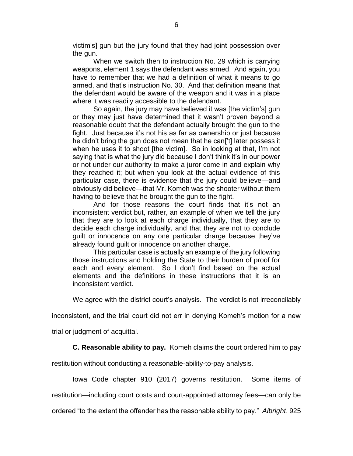victim's] gun but the jury found that they had joint possession over the gun.

When we switch then to instruction No. 29 which is carrying weapons, element 1 says the defendant was armed. And again, you have to remember that we had a definition of what it means to go armed, and that's instruction No. 30. And that definition means that the defendant would be aware of the weapon and it was in a place where it was readily accessible to the defendant.

So again, the jury may have believed it was [the victim's] gun or they may just have determined that it wasn't proven beyond a reasonable doubt that the defendant actually brought the gun to the fight. Just because it's not his as far as ownership or just because he didn't bring the gun does not mean that he can['t] later possess it when he uses it to shoot [the victim]. So in looking at that, I'm not saying that is what the jury did because I don't think it's in our power or not under our authority to make a juror come in and explain why they reached it; but when you look at the actual evidence of this particular case, there is evidence that the jury could believe—and obviously did believe—that Mr. Komeh was the shooter without them having to believe that he brought the gun to the fight.

And for those reasons the court finds that it's not an inconsistent verdict but, rather, an example of when we tell the jury that they are to look at each charge individually, that they are to decide each charge individually, and that they are not to conclude guilt or innocence on any one particular charge because they've already found guilt or innocence on another charge.

This particular case is actually an example of the jury following those instructions and holding the State to their burden of proof for each and every element. So I don't find based on the actual elements and the definitions in these instructions that it is an inconsistent verdict.

We agree with the district court's analysis. The verdict is not irreconcilably

inconsistent, and the trial court did not err in denying Komeh's motion for a new

trial or judgment of acquittal.

**C. Reasonable ability to pay.** Komeh claims the court ordered him to pay

restitution without conducting a reasonable-ability-to-pay analysis.

Iowa Code chapter 910 (2017) governs restitution. Some items of

restitution—including court costs and court-appointed attorney fees—can only be

ordered "to the extent the offender has the reasonable ability to pay." *Albright*, 925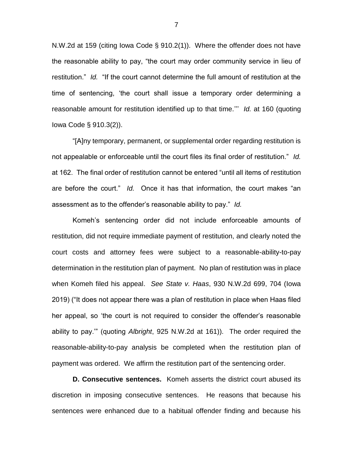N.W.2d at 159 (citing Iowa Code § 910.2(1)). Where the offender does not have the reasonable ability to pay, "the court may order community service in lieu of restitution." *Id.* "If the court cannot determine the full amount of restitution at the time of sentencing, 'the court shall issue a temporary order determining a reasonable amount for restitution identified up to that time.''' *Id.* at 160 (quoting Iowa Code § 910.3(2)).

"[A]ny temporary, permanent, or supplemental order regarding restitution is not appealable or enforceable until the court files its final order of restitution." *Id.* at 162. The final order of restitution cannot be entered "until all items of restitution are before the court." *Id.* Once it has that information, the court makes "an assessment as to the offender's reasonable ability to pay." *Id.*

Komeh's sentencing order did not include enforceable amounts of restitution, did not require immediate payment of restitution, and clearly noted the court costs and attorney fees were subject to a reasonable-ability-to-pay determination in the restitution plan of payment. No plan of restitution was in place when Komeh filed his appeal. *See State v. Haas*, 930 N.W.2d 699, 704 (Iowa 2019) ("It does not appear there was a plan of restitution in place when Haas filed her appeal, so 'the court is not required to consider the offender's reasonable ability to pay.'" (quoting *Albright*, 925 N.W.2d at 161)). The order required the reasonable-ability-to-pay analysis be completed when the restitution plan of payment was ordered. We affirm the restitution part of the sentencing order.

**D. Consecutive sentences.**Komeh asserts the district court abused its discretion in imposing consecutive sentences. He reasons that because his sentences were enhanced due to a habitual offender finding and because his

7